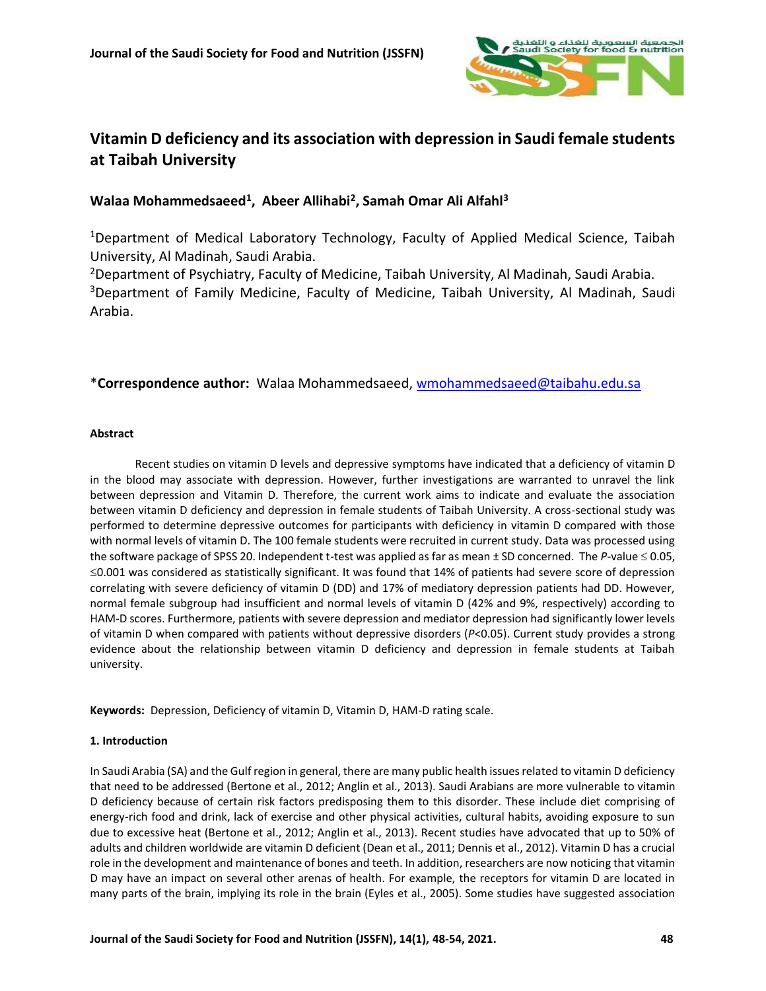

# **Vitamin D deficiency and its association with depression in Saudi female students at Taibah University**

# **Walaa Mohammedsaeed<sup>1</sup> , Abeer Allihabi<sup>2</sup> , Samah Omar Ali Alfahl<sup>3</sup>**

<sup>1</sup>Department of Medical Laboratory Technology, Faculty of Applied Medical Science, Taibah University, Al Madinah, Saudi Arabia.

<sup>2</sup>Department of Psychiatry, Faculty of Medicine, Taibah University, Al Madinah, Saudi Arabia. <sup>3</sup>Department of Family Medicine, Faculty of Medicine, Taibah University, Al Madinah, Saudi Arabia.

# \***Correspondence author:** Walaa Mohammedsaeed[, wmohammedsaeed@taibahu.edu.sa](mailto:wmohammedsaeed@taibahu.edu.sa)

# **Abstract**

Recent studies on vitamin D levels and depressive symptoms have indicated that a deficiency of vitamin D in the blood may associate with depression. However, further investigations are warranted to unravel the link between depression and Vitamin D. Therefore, the current work aims to indicate and evaluate the association between vitamin D deficiency and depression in female students of Taibah University. A cross-sectional study was performed to determine depressive outcomes for participants with deficiency in vitamin D compared with those with normal levels of vitamin D. The 100 female students were recruited in current study. Data was processed using the software package of SPSS 20. Independent t-test was applied as far as mean  $\pm$  SD concerned. The *P*-value  $\leq$  0.05,  $\leq$ 0.001 was considered as statistically significant. It was found that 14% of patients had severe score of depression correlating with severe deficiency of vitamin D (DD) and 17% of mediatory depression patients had DD. However, normal female subgroup had insufficient and normal levels of vitamin D (42% and 9%, respectively) according to HAM-D scores. Furthermore, patients with severe depression and mediator depression had significantly lower levels of vitamin D when compared with patients without depressive disorders (*P*<0.05). Current study provides a strong evidence about the relationship between vitamin D deficiency and depression in female students at Taibah university.

**Keywords:** Depression, Deficiency of vitamin D, Vitamin D, HAM-D rating scale.

# **1. Introduction**

In Saudi Arabia (SA) and the Gulf region in general, there are many public health issues related to vitamin D deficiency that need to be addressed (Bertone et al., 2012; Anglin et al., 2013). Saudi Arabians are more vulnerable to vitamin D deficiency because of certain risk factors predisposing them to this disorder. These include diet comprising of energy-rich food and drink, lack of exercise and other physical activities, cultural habits, avoiding exposure to sun due to excessive heat (Bertone et al., 2012; Anglin et al., 2013). Recent studies have advocated that up to 50% of adults and children worldwide are vitamin D deficient (Dean et al., 2011; Dennis et al., 2012). Vitamin D has a crucial role in the development and maintenance of bones and teeth. In addition, researchers are now noticing that vitamin D may have an impact on several other arenas of health. For example, the receptors for vitamin D are located in many parts of the brain, implying its role in the brain (Eyles et al., 2005). Some studies have suggested association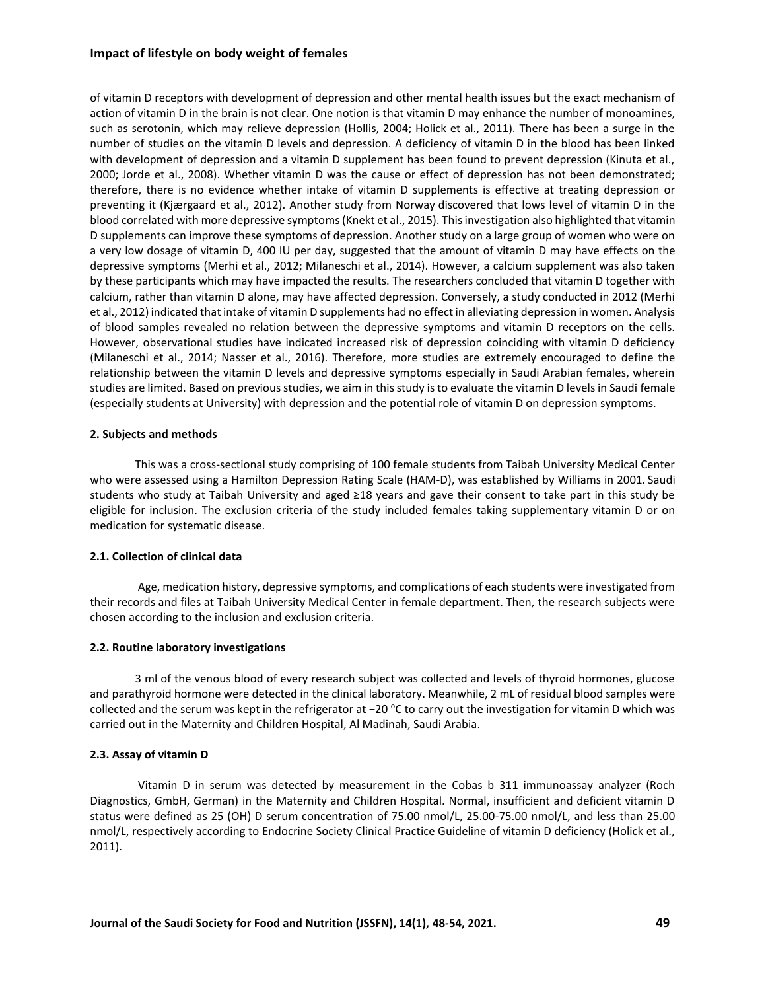### **Impact of lifestyle on body weight of females**

of vitamin D receptors with development of depression and other mental health issues but the exact mechanism of action of vitamin D in the brain is not clear. One notion is that vitamin D may enhance the number of monoamines, such as serotonin, which may relieve depression (Hollis, 2004; Holick et al., 2011). There has been a surge in the number of studies on the vitamin D levels and depression. A deficiency of vitamin D in the blood has been linked with development of depression and a vitamin D supplement has been found to prevent depression (Kinuta et al., 2000; Jorde et al., 2008). Whether vitamin D was the cause or effect of depression has not been demonstrated; therefore, there is no evidence whether intake of vitamin D supplements is effective at treating depression or preventing it (Kjærgaard et al., 2012). Another study from Norway discovered that lows level of vitamin D in the blood correlated with more depressive symptoms (Knekt et al., 2015). This investigation also highlighted that vitamin D supplements can improve these symptoms of depression. Another study on a large group of women who were on a very low dosage of vitamin D, 400 IU per day, suggested that the amount of vitamin D may have effects on the depressive symptoms (Merhi et al., 2012; Milaneschi et al., 2014). However, a calcium supplement was also taken by these participants which may have impacted the results. The researchers concluded that vitamin D together with calcium, rather than vitamin D alone, may have affected depression. Conversely, a study conducted in 2012 (Merhi et al., 2012) indicated that intake of vitamin D supplements had no effect in alleviating depression in women. Analysis of blood samples revealed no relation between the depressive symptoms and vitamin D receptors on the cells. However, observational studies have indicated increased risk of depression coinciding with vitamin D deficiency (Milaneschi et al., 2014; Nasser et al., 2016). Therefore, more studies are extremely encouraged to define the relationship between the vitamin D levels and depressive symptoms especially in Saudi Arabian females, wherein studies are limited. Based on previous studies, we aim in this study is to evaluate the vitamin D levels in Saudi female (especially students at University) with depression and the potential role of vitamin D on depression symptoms.

## **2. Subjects and methods**

This was a cross-sectional study comprising of 100 female students from Taibah University Medical Center who were assessed using a Hamilton Depression Rating Scale (HAM-D), was established by Williams in 2001. Saudi students who study at Taibah University and aged ≥18 years and gave their consent to take part in this study be eligible for inclusion. The exclusion criteria of the study included females taking supplementary vitamin D or on medication for systematic disease.

# **2.1. Collection of clinical data**

Age, medication history, depressive symptoms, and complications of each students were investigated from their records and files at Taibah University Medical Center in female department. Then, the research subjects were chosen according to the inclusion and exclusion criteria.

### **2.2. Routine laboratory investigations**

3 ml of the venous blood of every research subject was collected and levels of thyroid hormones, glucose and parathyroid hormone were detected in the clinical laboratory. Meanwhile, 2 mL of residual blood samples were collected and the serum was kept in the refrigerator at −20 °C to carry out the investigation for vitamin D which was carried out in the Maternity and Children Hospital, Al Madinah, Saudi Arabia.

# **2.3. Assay of vitamin D**

Vitamin D in serum was detected by measurement in the Cobas b 311 immunoassay analyzer (Roch Diagnostics, GmbH, German) in the Maternity and Children Hospital. Normal, insufficient and deficient vitamin D status were defined as 25 (OH) D serum concentration of 75.00 nmol/L, 25.00-75.00 nmol/L, and less than 25.00 nmol/L, respectively according to Endocrine Society Clinical Practice Guideline of vitamin D deficiency (Holick et al., 2011).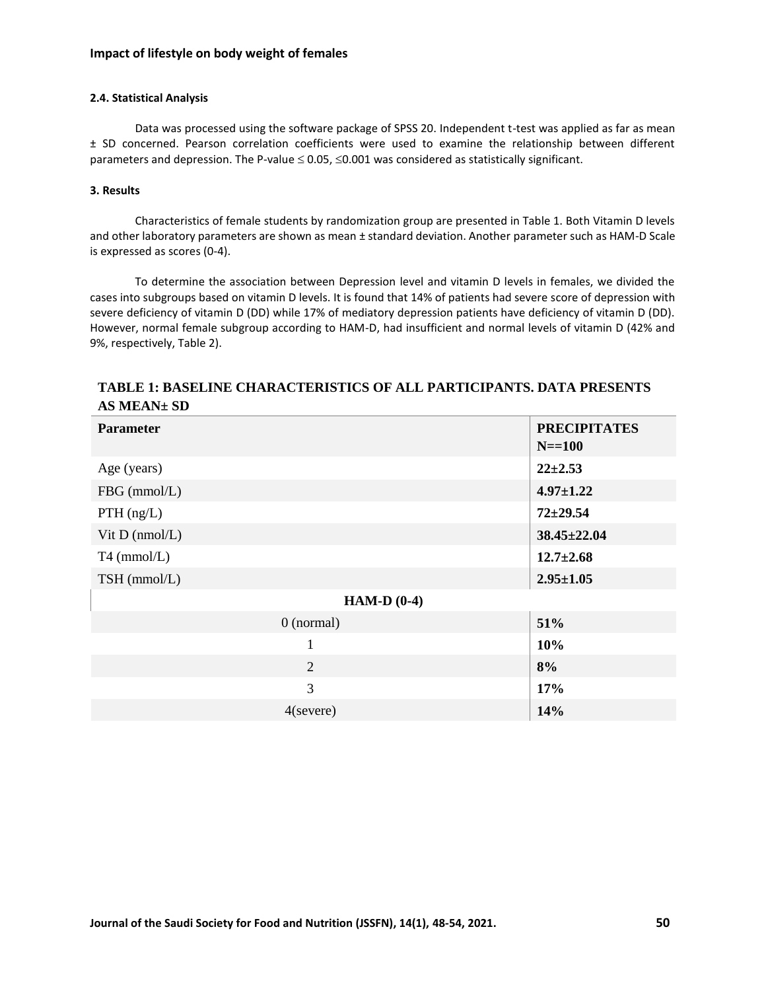## **Impact of lifestyle on body weight of females**

## **2.4. Statistical Analysis**

Data was processed using the software package of SPSS 20. Independent t-test was applied as far as mean ± SD concerned. Pearson correlation coefficients were used to examine the relationship between different parameters and depression. The P-value  $\leq 0.05$ ,  $\leq 0.001$  was considered as statistically significant.

# **3. Results**

Characteristics of female students by randomization group are presented in Table 1. Both Vitamin D levels and other laboratory parameters are shown as mean ± standard deviation. Another parameter such as HAM-D Scale is expressed as scores (0-4).

To determine the association between Depression level and vitamin D levels in females, we divided the cases into subgroups based on vitamin D levels. It is found that 14% of patients had severe score of depression with severe deficiency of vitamin D (DD) while 17% of mediatory depression patients have deficiency of vitamin D (DD). However, normal female subgroup according to HAM-D, had insufficient and normal levels of vitamin D (42% and 9%, respectively, Table 2).

| <b>Parameter</b>     | <b>PRECIPITATES</b><br>$N = 100$ |  |  |  |  |
|----------------------|----------------------------------|--|--|--|--|
| Age (years)          | $22 \pm 2.53$                    |  |  |  |  |
| FBG (mmol/L)         | $4.97 \pm 1.22$                  |  |  |  |  |
| $PTH$ (ng/L)         | $72 + 29.54$                     |  |  |  |  |
| Vit $D$ (nmol/ $L$ ) | $38.45 \pm 22.04$                |  |  |  |  |
| $T4$ (mmol/L)        | $12.7 \pm 2.68$                  |  |  |  |  |
| TSH (mmol/L)         | $2.95 \pm 1.05$                  |  |  |  |  |
| HAM-D $(0-4)$        |                                  |  |  |  |  |
| $0$ (normal)         | 51%                              |  |  |  |  |
| $\mathbf{1}$         | 10%                              |  |  |  |  |
| 2                    | 8%                               |  |  |  |  |
| 3                    | 17%                              |  |  |  |  |
| $4$ (severe)         | 14%                              |  |  |  |  |

# **TABLE 1: BASELINE CHARACTERISTICS OF ALL PARTICIPANTS. DATA PRESENTS AS MEAN± SD**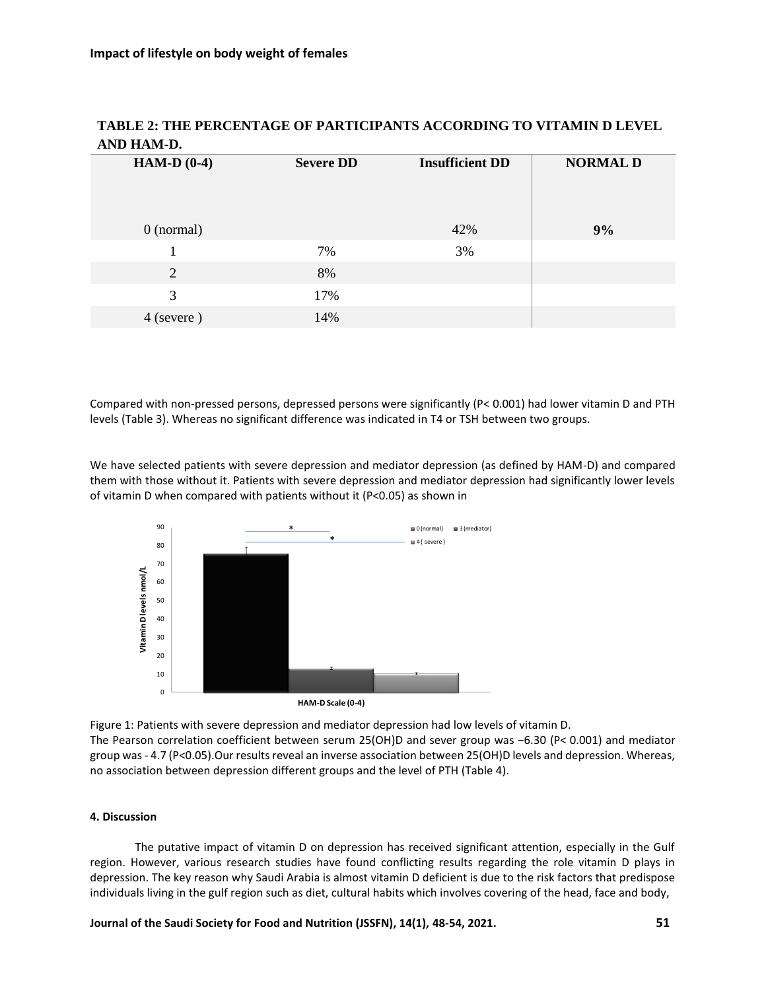| $\cdots$      |                  |                        |                 |  |  |
|---------------|------------------|------------------------|-----------------|--|--|
| HAM-D $(0-4)$ | <b>Severe DD</b> | <b>Insufficient DD</b> | <b>NORMAL D</b> |  |  |
|               |                  |                        |                 |  |  |
| $0$ (normal)  |                  | 42%                    | 9%              |  |  |
|               | 7%               | 3%                     |                 |  |  |
| 2             | 8%               |                        |                 |  |  |
| 3             | 17%              |                        |                 |  |  |
| 4 (severe)    | 14%              |                        |                 |  |  |
|               |                  |                        |                 |  |  |

# **TABLE 2: THE PERCENTAGE OF PARTICIPANTS ACCORDING TO VITAMIN D LEVEL AND HAM-D.**

Compared with non-pressed persons, depressed persons were significantly (P< 0.001) had lower vitamin D and PTH levels (Table 3). Whereas no significant difference was indicated in T4 or TSH between two groups.

We have selected patients with severe depression and mediator depression (as defined by HAM-D) and compared them with those without it. Patients with severe depression and mediator depression had significantly lower levels of vitamin D when compared with patients without it (P<0.05) as shown in



Figure 1: Patients with severe depression and mediator depression had low levels of vitamin D. The Pearson correlation coefficient between serum 25(OH)D and sever group was −6.30 (P< 0.001) and mediator group was - 4.7 (P<0.05).Our results reveal an inverse association between 25(OH)D levels and depression. Whereas, no association between depression different groups and the level of PTH (Table 4).

### **4. Discussion**

The putative impact of vitamin D on depression has received significant attention, especially in the Gulf region. However, various research studies have found conflicting results regarding the role vitamin D plays in depression. The key reason why Saudi Arabia is almost vitamin D deficient is due to the risk factors that predispose individuals living in the gulf region such as diet, cultural habits which involves covering of the head, face and body,

**Journal of the Saudi Society for Food and Nutrition (JSSFN), 14(1), 48-54, 2021. 51**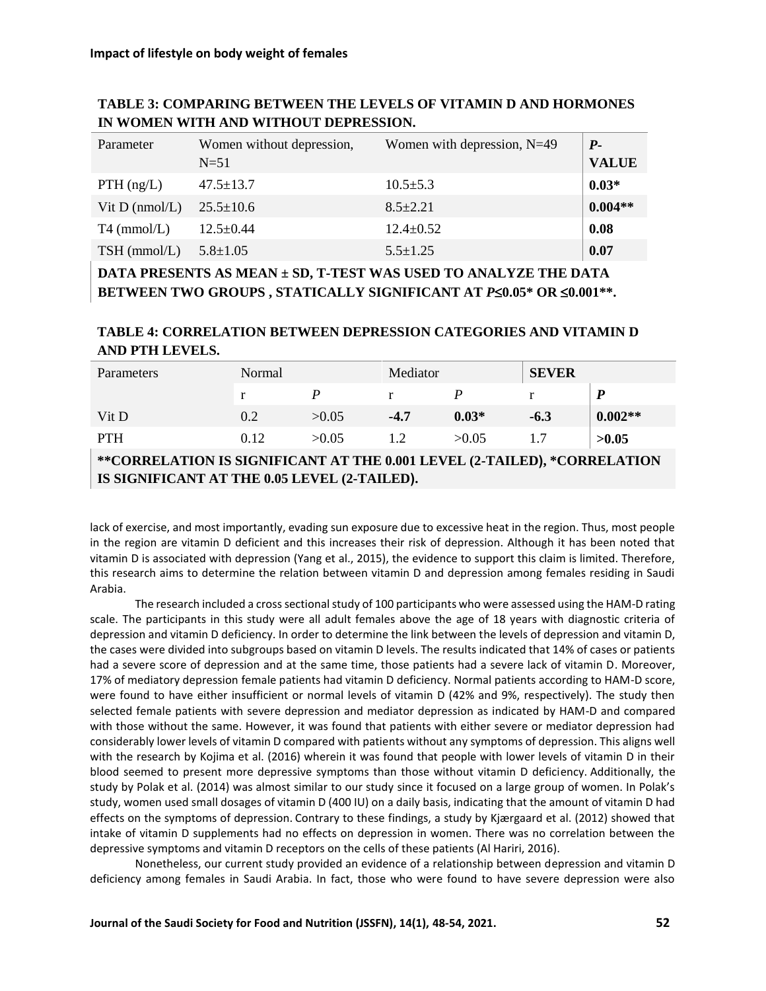# **TABLE 3: COMPARING BETWEEN THE LEVELS OF VITAMIN D AND HORMONES IN WOMEN WITH AND WITHOUT DEPRESSION.**

| Parameter        | Women without depression,<br>$N=51$ | Women with depression, $N=49$ | $P-$<br><b>VALUE</b> |
|------------------|-------------------------------------|-------------------------------|----------------------|
| $PTH$ (ng/L)     | $47.5 \pm 13.7$                     | $10.5 \pm 5.3$                | $0.03*$              |
| Vit $D$ (nmol/L) | $25.5 \pm 10.6$                     | $8.5 \pm 2.21$                | $0.004**$            |
| $T4$ (mmol/L)    | $12.5 \pm 0.44$                     | $12.4 \pm 0.52$               | 0.08                 |
| $TSH$ (mmol/L)   | $5.8 \pm 1.05$                      | $5.5 \pm 1.25$                | 0.07                 |

**DATA PRESENTS AS MEAN ± SD, T-TEST WAS USED TO ANALYZE THE DATA BETWEEN TWO GROUPS , STATICALLY SIGNIFICANT AT** *P***0.05\* OR 0.001\*\*.**

# **TABLE 4: CORRELATION BETWEEN DEPRESSION CATEGORIES AND VITAMIN D AND PTH LEVELS.**

| Parameters                                                               | Normal |        | Mediator |         | <b>SEVER</b> |           |  |
|--------------------------------------------------------------------------|--------|--------|----------|---------|--------------|-----------|--|
|                                                                          |        |        |          |         |              |           |  |
| Vit D                                                                    | 0.2    | > 0.05 | $-4.7$   | $0.03*$ | $-6.3$       | $0.002**$ |  |
| <b>PTH</b>                                                               | 0.12   | > 0.05 | 1.2      | >0.05   |              | >0.05     |  |
| **CORRELATION IS SIGNIFICANT AT THE 0.001 LEVEL (2-TAILED), *CORRELATION |        |        |          |         |              |           |  |

**IS SIGNIFICANT AT THE 0.05 LEVEL (2-TAILED(.**

lack of exercise, and most importantly, evading sun exposure due to excessive heat in the region. Thus, most people in the region are vitamin D deficient and this increases their risk of depression. Although it has been noted that vitamin D is associated with depression (Yang et al., 2015), the evidence to support this claim is limited. Therefore, this research aims to determine the relation between vitamin D and depression among females residing in Saudi Arabia.

The research included a cross sectional study of 100 participants who were assessed using the HAM-D rating scale. The participants in this study were all adult females above the age of 18 years with diagnostic criteria of depression and vitamin D deficiency. In order to determine the link between the levels of depression and vitamin D, the cases were divided into subgroups based on vitamin D levels. The results indicated that 14% of cases or patients had a severe score of depression and at the same time, those patients had a severe lack of vitamin D. Moreover, 17% of mediatory depression female patients had vitamin D deficiency. Normal patients according to HAM-D score, were found to have either insufficient or normal levels of vitamin D (42% and 9%, respectively). The study then selected female patients with severe depression and mediator depression as indicated by HAM-D and compared with those without the same. However, it was found that patients with either severe or mediator depression had considerably lower levels of vitamin D compared with patients without any symptoms of depression. This aligns well with the research by Kojima et al. (2016) wherein it was found that people with lower levels of vitamin D in their blood seemed to present more depressive symptoms than those without vitamin D deficiency. Additionally, the study by Polak et al. (2014) was almost similar to our study since it focused on a large group of women. In Polak's study, women used small dosages of vitamin D (400 IU) on a daily basis, indicating that the amount of vitamin D had effects on the symptoms of depression. Contrary to these findings, a study by Kjærgaard et al. (2012) showed that intake of vitamin D supplements had no effects on depression in women. There was no correlation between the depressive symptoms and vitamin D receptors on the cells of these patients (Al Hariri, 2016).

Nonetheless, our current study provided an evidence of a relationship between depression and vitamin D deficiency among females in Saudi Arabia. In fact, those who were found to have severe depression were also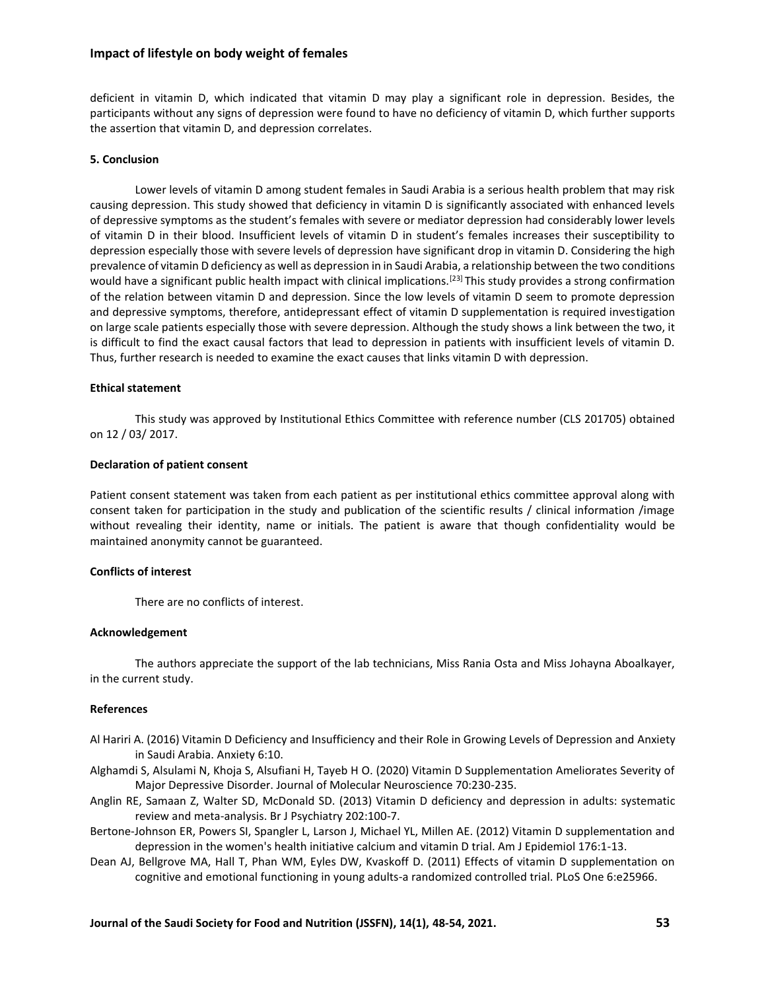### **Impact of lifestyle on body weight of females**

deficient in vitamin D, which indicated that vitamin D may play a significant role in depression. Besides, the participants without any signs of depression were found to have no deficiency of vitamin D, which further supports the assertion that vitamin D, and depression correlates.

#### **5. Conclusion**

Lower levels of vitamin D among student females in Saudi Arabia is a serious health problem that may risk causing depression. This study showed that deficiency in vitamin D is significantly associated with enhanced levels of depressive symptoms as the student's females with severe or mediator depression had considerably lower levels of vitamin D in their blood. Insufficient levels of vitamin D in student's females increases their susceptibility to depression especially those with severe levels of depression have significant drop in vitamin D. Considering the high prevalence of vitamin D deficiency as well as depression in in Saudi Arabia, a relationship between the two conditions would have a significant public health impact with clinical implications.<sup>[23]</sup> This study provides a strong confirmation of the relation between vitamin D and depression. Since the low levels of vitamin D seem to promote depression and depressive symptoms, therefore, antidepressant effect of vitamin D supplementation is required investigation on large scale patients especially those with severe depression. Although the study shows a link between the two, it is difficult to find the exact causal factors that lead to depression in patients with insufficient levels of vitamin D. Thus, further research is needed to examine the exact causes that links vitamin D with depression.

#### **Ethical statement**

This study was approved by Institutional Ethics Committee with reference number (CLS 201705) obtained on 12 / 03/ 2017.

#### **Declaration of patient consent**

Patient consent statement was taken from each patient as per institutional ethics committee approval along with consent taken for participation in the study and publication of the scientific results / clinical information /image without revealing their identity, name or initials. The patient is aware that though confidentiality would be maintained anonymity cannot be guaranteed.

#### **Conflicts of interest**

There are no conflicts of interest.

#### **Acknowledgement**

The authors appreciate the support of the lab technicians, Miss Rania Osta and Miss Johayna Aboalkayer, in the current study.

#### **References**

- Al Hariri A. (2016) Vitamin D Deficiency and Insufficiency and their Role in Growing Levels of Depression and Anxiety in Saudi Arabia. Anxiety 6:10.
- Alghamdi S, Alsulami N, Khoja S, Alsufiani H, Tayeb H O. (2020) Vitamin D Supplementation Ameliorates Severity of Major Depressive Disorder. Journal of Molecular Neuroscience 70:230-235.
- Anglin RE, Samaan Z, Walter SD, McDonald SD. (2013) Vitamin D deficiency and depression in adults: systematic review and meta-analysis. Br J Psychiatry 202:100-7.
- Bertone-Johnson ER, Powers SI, Spangler L, Larson J, Michael YL, Millen AE. (2012) Vitamin D supplementation and depression in the women's health initiative calcium and vitamin D trial. Am J Epidemiol 176:1-13.
- Dean AJ, Bellgrove MA, Hall T, Phan WM, Eyles DW, Kvaskoff D. (2011) Effects of vitamin D supplementation on cognitive and emotional functioning in young adults-a randomized controlled trial. PLoS One 6:e25966.